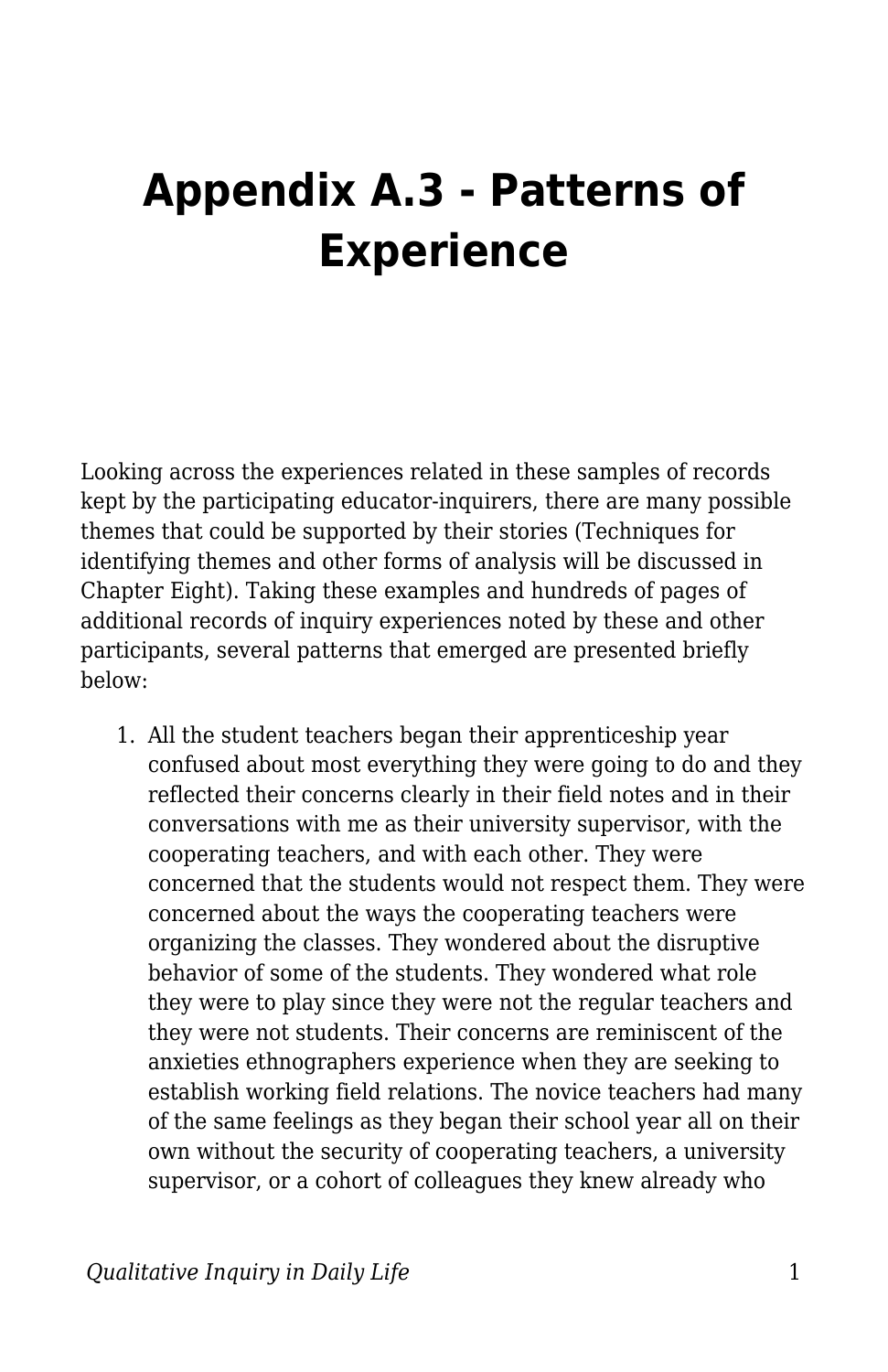## **Appendix A.3 - Patterns of Experience**

Looking across the experiences related in these samples of records kept by the participating educator-inquirers, there are many possible themes that could be supported by their stories (Techniques for identifying themes and other forms of analysis will be discussed in Chapter Eight). Taking these examples and hundreds of pages of additional records of inquiry experiences noted by these and other participants, several patterns that emerged are presented briefly below:

1. All the student teachers began their apprenticeship year confused about most everything they were going to do and they reflected their concerns clearly in their field notes and in their conversations with me as their university supervisor, with the cooperating teachers, and with each other. They were concerned that the students would not respect them. They were concerned about the ways the cooperating teachers were organizing the classes. They wondered about the disruptive behavior of some of the students. They wondered what role they were to play since they were not the regular teachers and they were not students. Their concerns are reminiscent of the anxieties ethnographers experience when they are seeking to establish working field relations. The novice teachers had many of the same feelings as they began their school year all on their own without the security of cooperating teachers, a university supervisor, or a cohort of colleagues they knew already who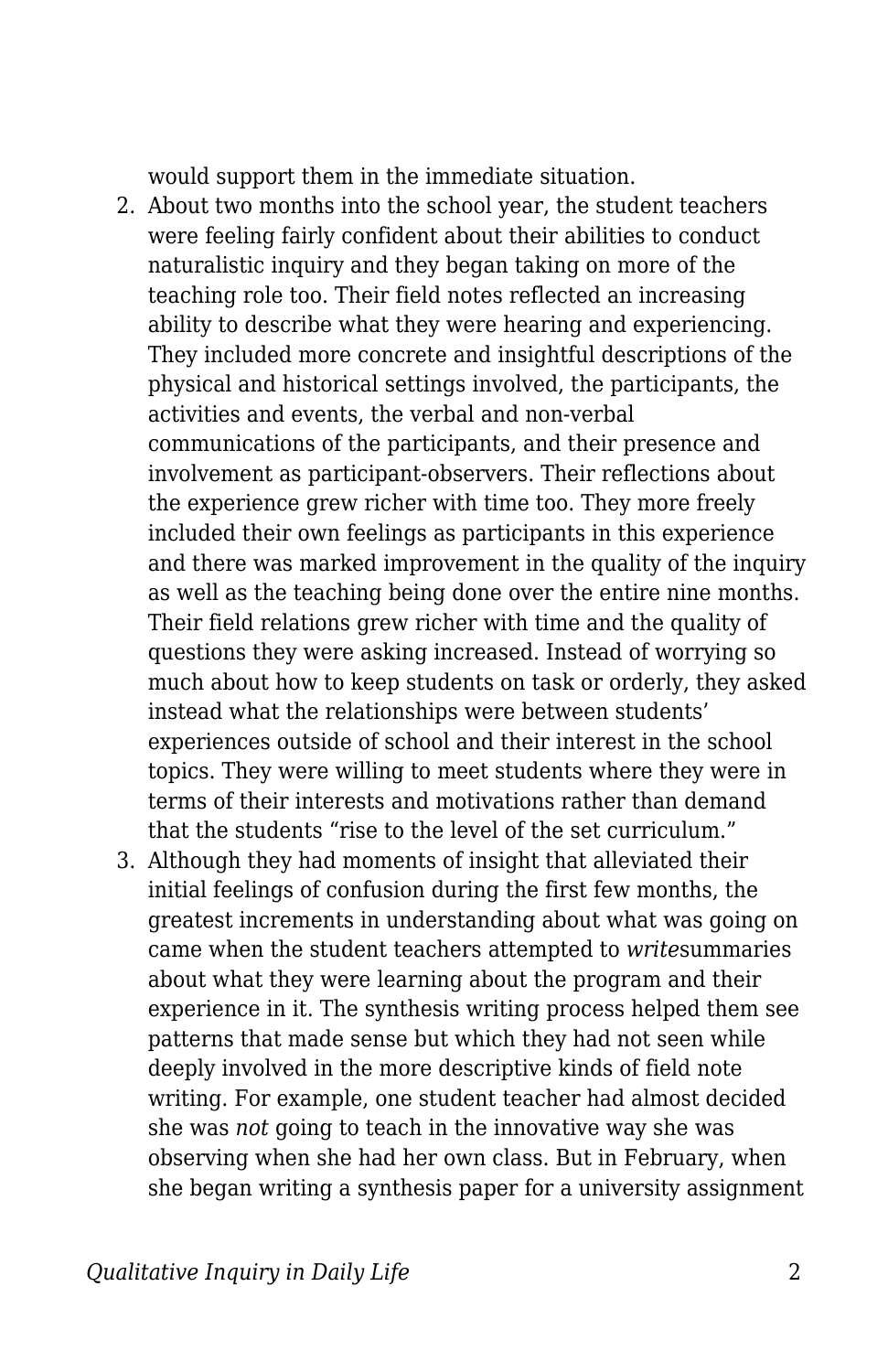would support them in the immediate situation.

- 2. About two months into the school year, the student teachers were feeling fairly confident about their abilities to conduct naturalistic inquiry and they began taking on more of the teaching role too. Their field notes reflected an increasing ability to describe what they were hearing and experiencing. They included more concrete and insightful descriptions of the physical and historical settings involved, the participants, the activities and events, the verbal and non-verbal communications of the participants, and their presence and involvement as participant-observers. Their reflections about the experience grew richer with time too. They more freely included their own feelings as participants in this experience and there was marked improvement in the quality of the inquiry as well as the teaching being done over the entire nine months. Their field relations grew richer with time and the quality of questions they were asking increased. Instead of worrying so much about how to keep students on task or orderly, they asked instead what the relationships were between students' experiences outside of school and their interest in the school topics. They were willing to meet students where they were in terms of their interests and motivations rather than demand that the students "rise to the level of the set curriculum."
- 3. Although they had moments of insight that alleviated their initial feelings of confusion during the first few months, the greatest increments in understanding about what was going on came when the student teachers attempted to *write*summaries about what they were learning about the program and their experience in it. The synthesis writing process helped them see patterns that made sense but which they had not seen while deeply involved in the more descriptive kinds of field note writing. For example, one student teacher had almost decided she was *not* going to teach in the innovative way she was observing when she had her own class. But in February, when she began writing a synthesis paper for a university assignment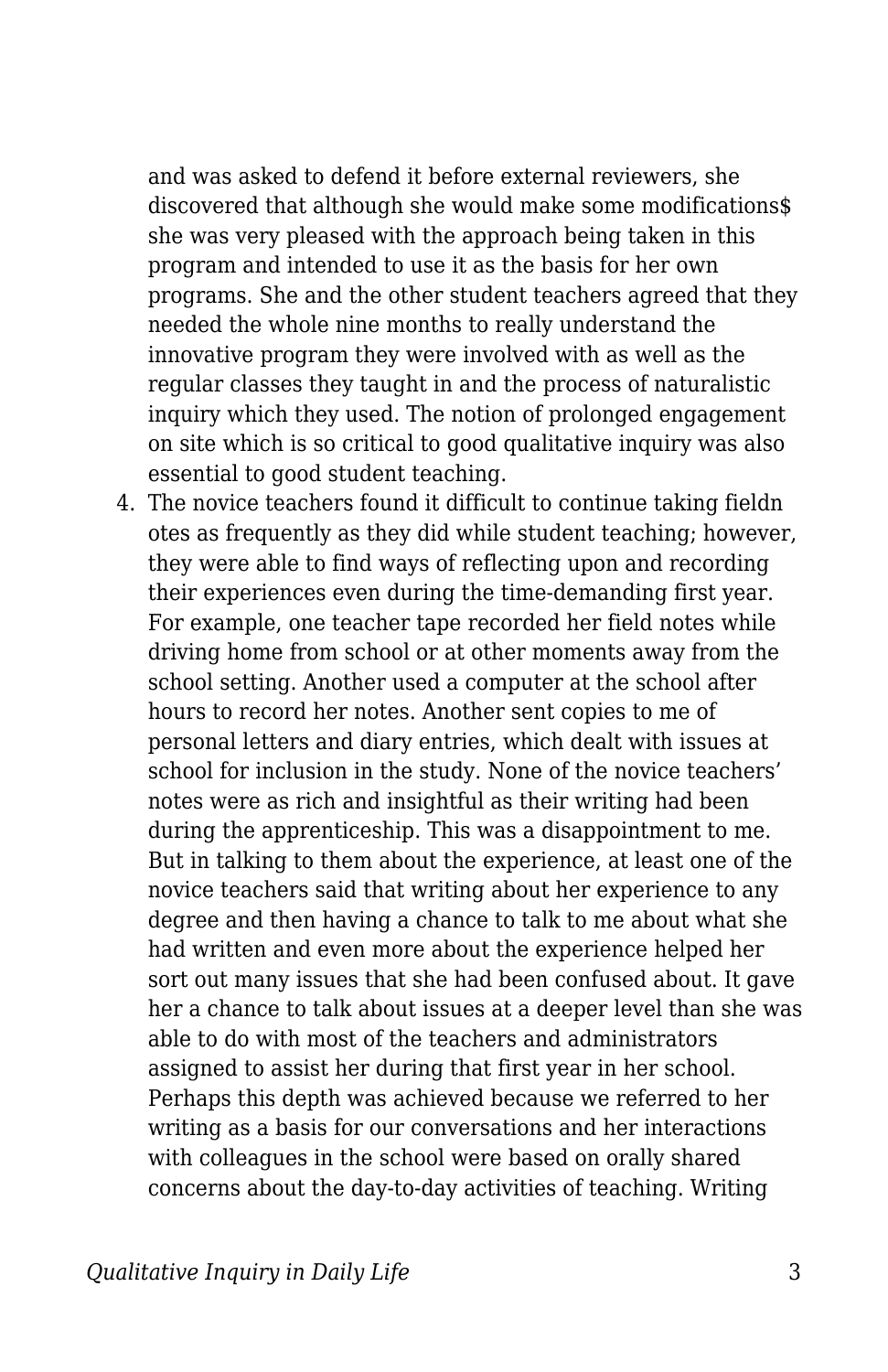and was asked to defend it before external reviewers, she discovered that although she would make some modifications\$ she was very pleased with the approach being taken in this program and intended to use it as the basis for her own programs. She and the other student teachers agreed that they needed the whole nine months to really understand the innovative program they were involved with as well as the regular classes they taught in and the process of naturalistic inquiry which they used. The notion of prolonged engagement on site which is so critical to good qualitative inquiry was also essential to good student teaching.

4. The novice teachers found it difficult to continue taking fieldn otes as frequently as they did while student teaching; however, they were able to find ways of reflecting upon and recording their experiences even during the time-demanding first year. For example, one teacher tape recorded her field notes while driving home from school or at other moments away from the school setting. Another used a computer at the school after hours to record her notes. Another sent copies to me of personal letters and diary entries, which dealt with issues at school for inclusion in the study. None of the novice teachers' notes were as rich and insightful as their writing had been during the apprenticeship. This was a disappointment to me. But in talking to them about the experience, at least one of the novice teachers said that writing about her experience to any degree and then having a chance to talk to me about what she had written and even more about the experience helped her sort out many issues that she had been confused about. It gave her a chance to talk about issues at a deeper level than she was able to do with most of the teachers and administrators assigned to assist her during that first year in her school. Perhaps this depth was achieved because we referred to her writing as a basis for our conversations and her interactions with colleagues in the school were based on orally shared concerns about the day-to-day activities of teaching. Writing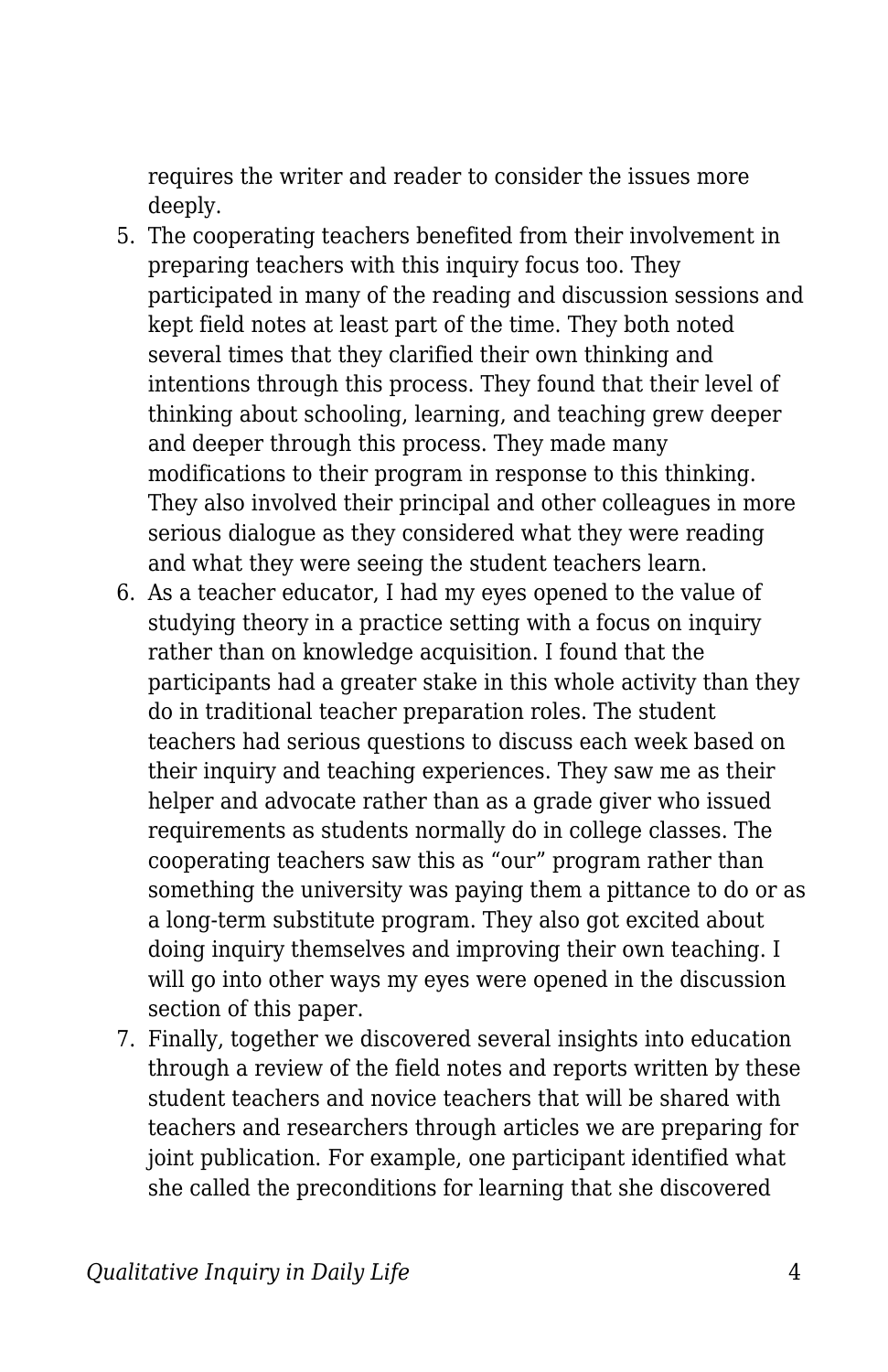requires the writer and reader to consider the issues more deeply.

- 5. The cooperating teachers benefited from their involvement in preparing teachers with this inquiry focus too. They participated in many of the reading and discussion sessions and kept field notes at least part of the time. They both noted several times that they clarified their own thinking and intentions through this process. They found that their level of thinking about schooling, learning, and teaching grew deeper and deeper through this process. They made many modifications to their program in response to this thinking. They also involved their principal and other colleagues in more serious dialogue as they considered what they were reading and what they were seeing the student teachers learn.
- 6. As a teacher educator, I had my eyes opened to the value of studying theory in a practice setting with a focus on inquiry rather than on knowledge acquisition. I found that the participants had a greater stake in this whole activity than they do in traditional teacher preparation roles. The student teachers had serious questions to discuss each week based on their inquiry and teaching experiences. They saw me as their helper and advocate rather than as a grade giver who issued requirements as students normally do in college classes. The cooperating teachers saw this as "our" program rather than something the university was paying them a pittance to do or as a long-term substitute program. They also got excited about doing inquiry themselves and improving their own teaching. I will go into other ways my eyes were opened in the discussion section of this paper.
- 7. Finally, together we discovered several insights into education through a review of the field notes and reports written by these student teachers and novice teachers that will be shared with teachers and researchers through articles we are preparing for joint publication. For example, one participant identified what she called the preconditions for learning that she discovered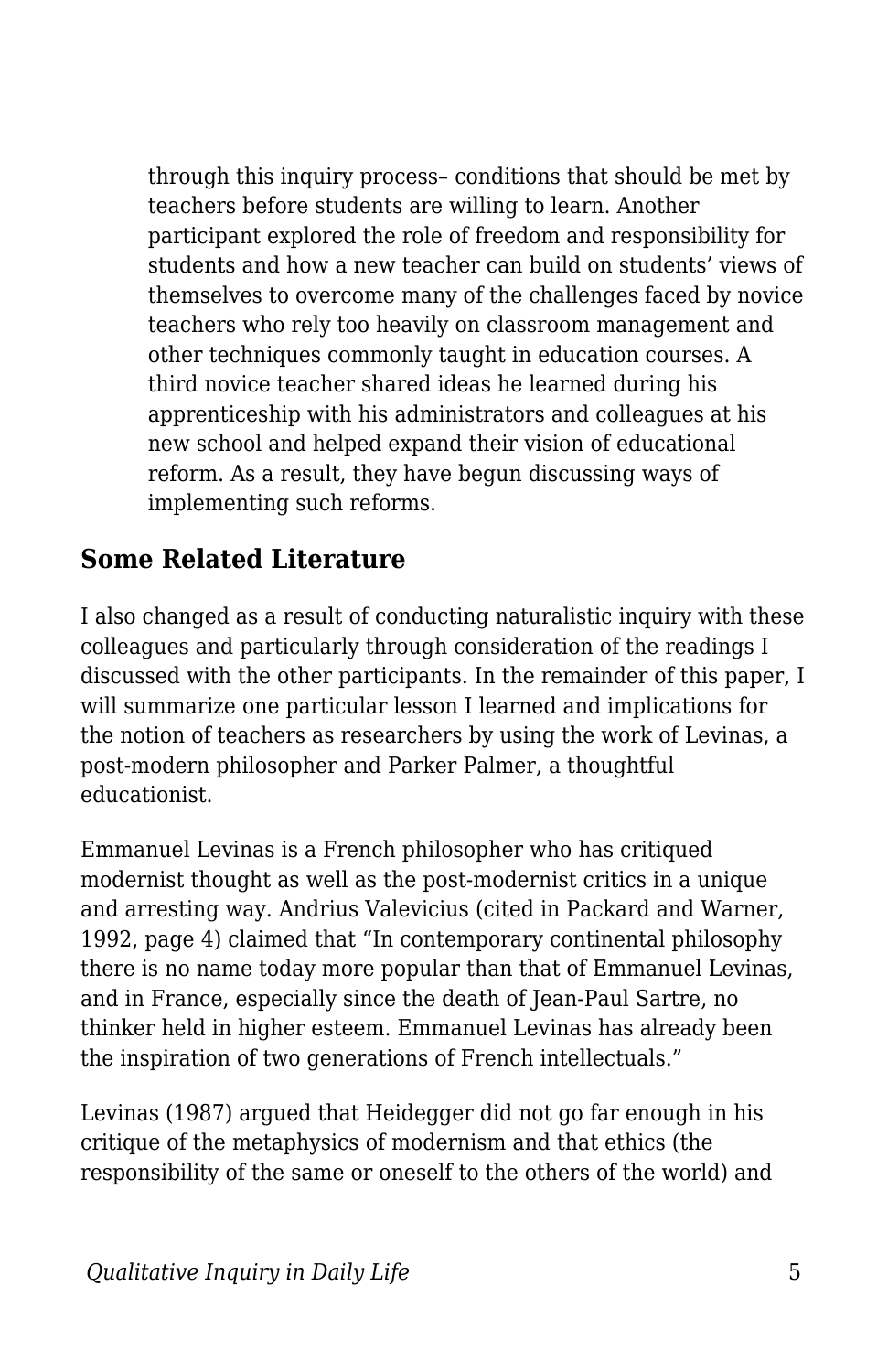through this inquiry process– conditions that should be met by teachers before students are willing to learn. Another participant explored the role of freedom and responsibility for students and how a new teacher can build on students' views of themselves to overcome many of the challenges faced by novice teachers who rely too heavily on classroom management and other techniques commonly taught in education courses. A third novice teacher shared ideas he learned during his apprenticeship with his administrators and colleagues at his new school and helped expand their vision of educational reform. As a result, they have begun discussing ways of implementing such reforms.

## **Some Related Literature**

I also changed as a result of conducting naturalistic inquiry with these colleagues and particularly through consideration of the readings I discussed with the other participants. In the remainder of this paper, I will summarize one particular lesson I learned and implications for the notion of teachers as researchers by using the work of Levinas, a post-modern philosopher and Parker Palmer, a thoughtful educationist.

Emmanuel Levinas is a French philosopher who has critiqued modernist thought as well as the post-modernist critics in a unique and arresting way. Andrius Valevicius (cited in Packard and Warner, 1992, page 4) claimed that "In contemporary continental philosophy there is no name today more popular than that of Emmanuel Levinas, and in France, especially since the death of Jean-Paul Sartre, no thinker held in higher esteem. Emmanuel Levinas has already been the inspiration of two generations of French intellectuals."

Levinas (1987) argued that Heidegger did not go far enough in his critique of the metaphysics of modernism and that ethics (the responsibility of the same or oneself to the others of the world) and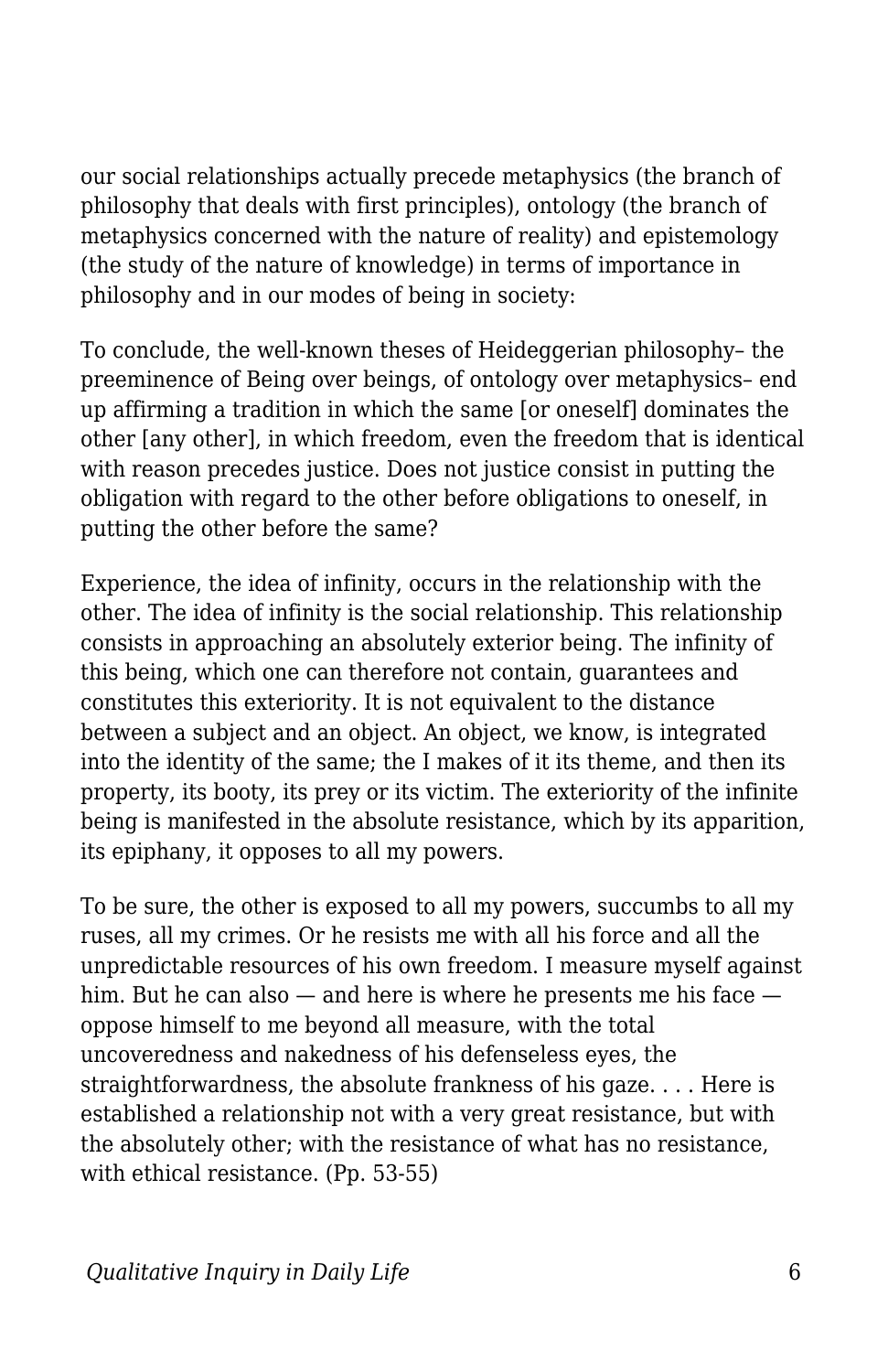our social relationships actually precede metaphysics (the branch of philosophy that deals with first principles), ontology (the branch of metaphysics concerned with the nature of reality) and epistemology (the study of the nature of knowledge) in terms of importance in philosophy and in our modes of being in society:

To conclude, the well-known theses of Heideggerian philosophy– the preeminence of Being over beings, of ontology over metaphysics– end up affirming a tradition in which the same [or oneself] dominates the other [any other], in which freedom, even the freedom that is identical with reason precedes justice. Does not justice consist in putting the obligation with regard to the other before obligations to oneself, in putting the other before the same?

Experience, the idea of infinity, occurs in the relationship with the other. The idea of infinity is the social relationship. This relationship consists in approaching an absolutely exterior being. The infinity of this being, which one can therefore not contain, guarantees and constitutes this exteriority. It is not equivalent to the distance between a subject and an object. An object, we know, is integrated into the identity of the same; the I makes of it its theme, and then its property, its booty, its prey or its victim. The exteriority of the infinite being is manifested in the absolute resistance, which by its apparition, its epiphany, it opposes to all my powers.

To be sure, the other is exposed to all my powers, succumbs to all my ruses, all my crimes. Or he resists me with all his force and all the unpredictable resources of his own freedom. I measure myself against him. But he can also — and here is where he presents me his face oppose himself to me beyond all measure, with the total uncoveredness and nakedness of his defenseless eyes, the straightforwardness, the absolute frankness of his gaze. . . . Here is established a relationship not with a very great resistance, but with the absolutely other; with the resistance of what has no resistance, with ethical resistance. (Pp. 53-55)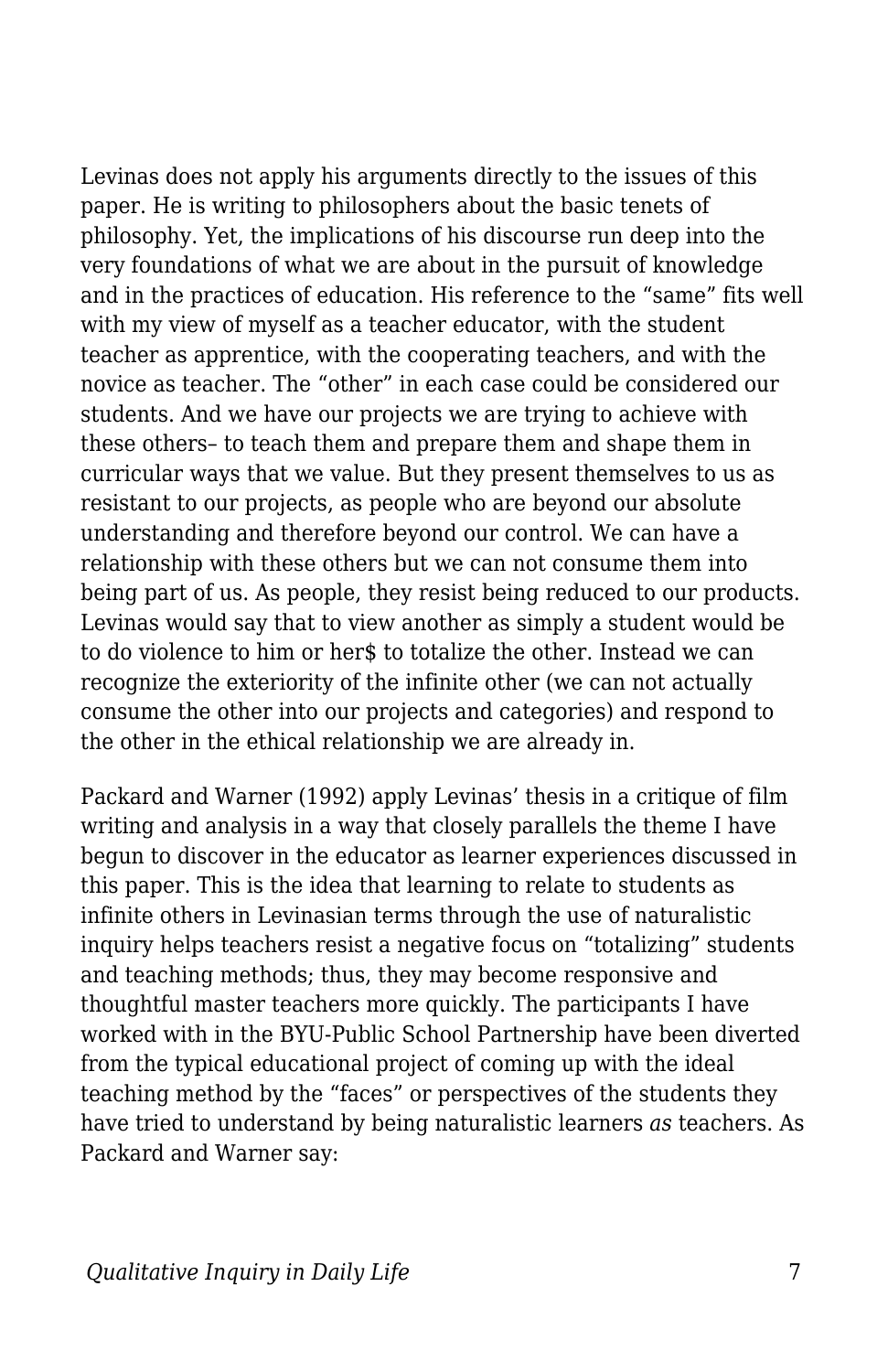Levinas does not apply his arguments directly to the issues of this paper. He is writing to philosophers about the basic tenets of philosophy. Yet, the implications of his discourse run deep into the very foundations of what we are about in the pursuit of knowledge and in the practices of education. His reference to the "same" fits well with my view of myself as a teacher educator, with the student teacher as apprentice, with the cooperating teachers, and with the novice as teacher. The "other" in each case could be considered our students. And we have our projects we are trying to achieve with these others– to teach them and prepare them and shape them in curricular ways that we value. But they present themselves to us as resistant to our projects, as people who are beyond our absolute understanding and therefore beyond our control. We can have a relationship with these others but we can not consume them into being part of us. As people, they resist being reduced to our products. Levinas would say that to view another as simply a student would be to do violence to him or her\$ to totalize the other. Instead we can recognize the exteriority of the infinite other (we can not actually consume the other into our projects and categories) and respond to the other in the ethical relationship we are already in.

Packard and Warner (1992) apply Levinas' thesis in a critique of film writing and analysis in a way that closely parallels the theme I have begun to discover in the educator as learner experiences discussed in this paper. This is the idea that learning to relate to students as infinite others in Levinasian terms through the use of naturalistic inquiry helps teachers resist a negative focus on "totalizing" students and teaching methods; thus, they may become responsive and thoughtful master teachers more quickly. The participants I have worked with in the BYU-Public School Partnership have been diverted from the typical educational project of coming up with the ideal teaching method by the "faces" or perspectives of the students they have tried to understand by being naturalistic learners *as* teachers. As Packard and Warner say: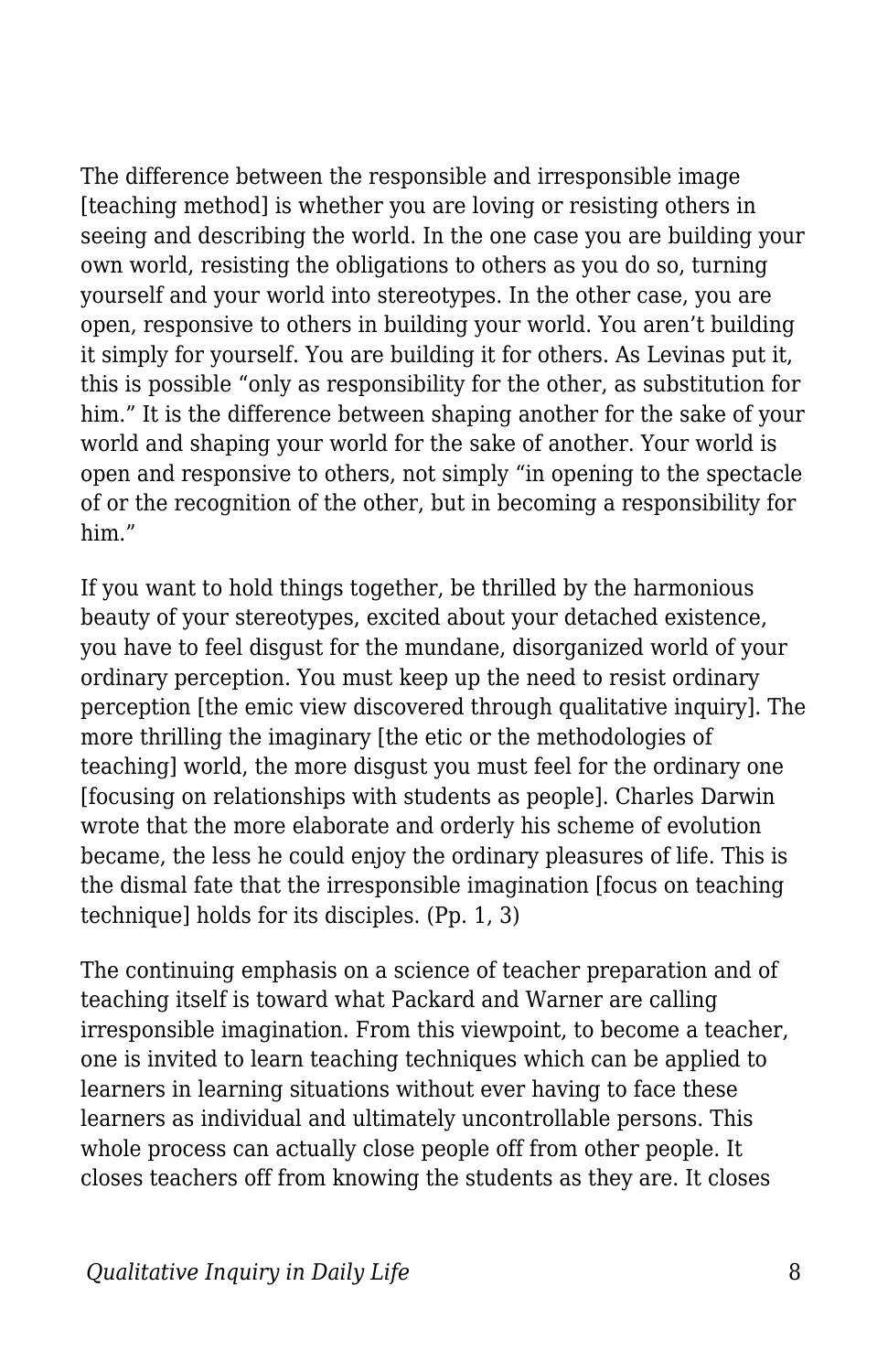The difference between the responsible and irresponsible image [teaching method] is whether you are loving or resisting others in seeing and describing the world. In the one case you are building your own world, resisting the obligations to others as you do so, turning yourself and your world into stereotypes. In the other case, you are open, responsive to others in building your world. You aren't building it simply for yourself. You are building it for others. As Levinas put it, this is possible "only as responsibility for the other, as substitution for him." It is the difference between shaping another for the sake of your world and shaping your world for the sake of another. Your world is open and responsive to others, not simply "in opening to the spectacle of or the recognition of the other, but in becoming a responsibility for him."

If you want to hold things together, be thrilled by the harmonious beauty of your stereotypes, excited about your detached existence, you have to feel disgust for the mundane, disorganized world of your ordinary perception. You must keep up the need to resist ordinary perception [the emic view discovered through qualitative inquiry]. The more thrilling the imaginary [the etic or the methodologies of teaching] world, the more disgust you must feel for the ordinary one [focusing on relationships with students as people]. Charles Darwin wrote that the more elaborate and orderly his scheme of evolution became, the less he could enjoy the ordinary pleasures of life. This is the dismal fate that the irresponsible imagination [focus on teaching technique] holds for its disciples. (Pp. 1, 3)

The continuing emphasis on a science of teacher preparation and of teaching itself is toward what Packard and Warner are calling irresponsible imagination. From this viewpoint, to become a teacher, one is invited to learn teaching techniques which can be applied to learners in learning situations without ever having to face these learners as individual and ultimately uncontrollable persons. This whole process can actually close people off from other people. It closes teachers off from knowing the students as they are. It closes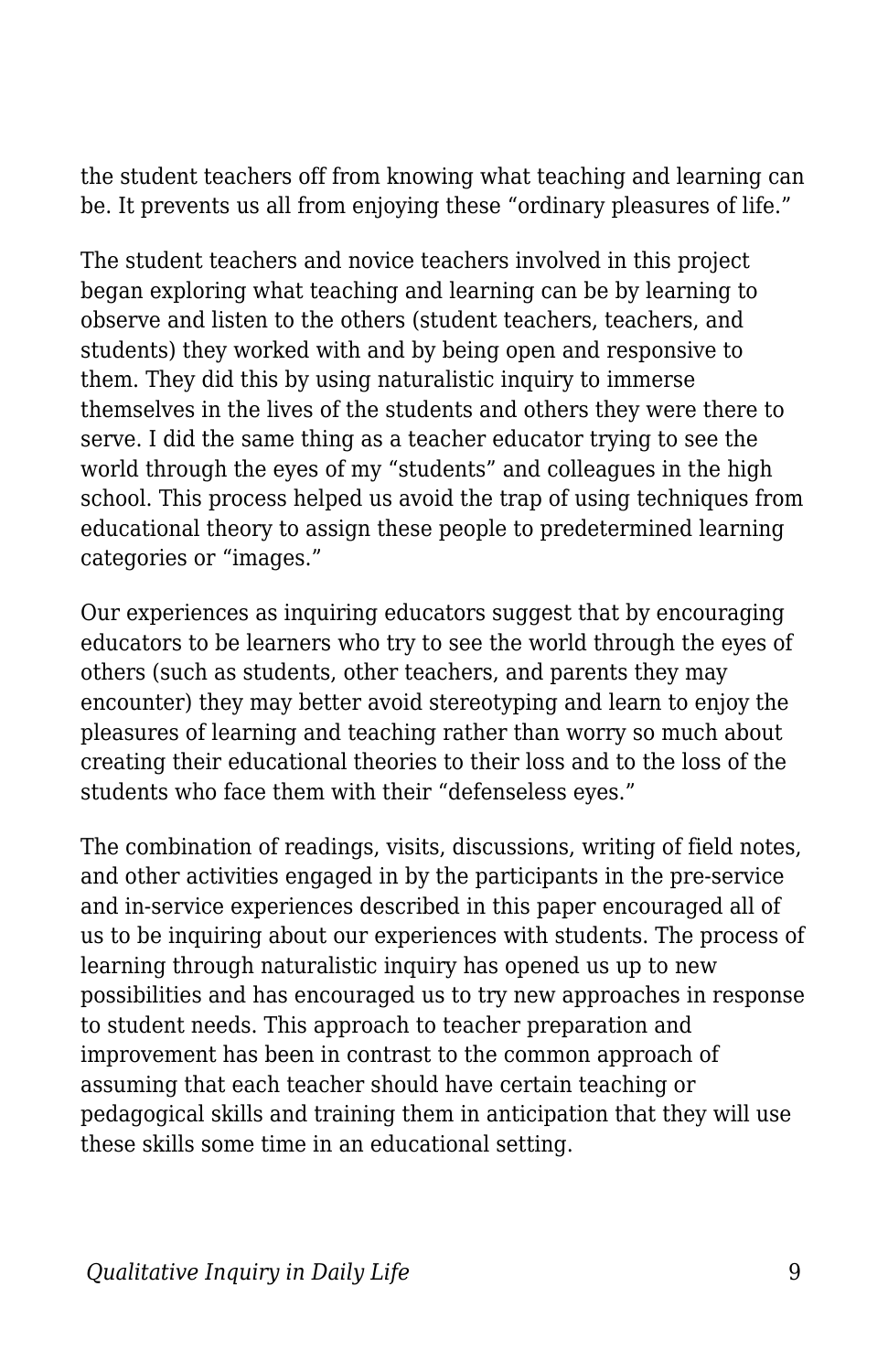the student teachers off from knowing what teaching and learning can be. It prevents us all from enjoying these "ordinary pleasures of life."

The student teachers and novice teachers involved in this project began exploring what teaching and learning can be by learning to observe and listen to the others (student teachers, teachers, and students) they worked with and by being open and responsive to them. They did this by using naturalistic inquiry to immerse themselves in the lives of the students and others they were there to serve. I did the same thing as a teacher educator trying to see the world through the eyes of my "students" and colleagues in the high school. This process helped us avoid the trap of using techniques from educational theory to assign these people to predetermined learning categories or "images."

Our experiences as inquiring educators suggest that by encouraging educators to be learners who try to see the world through the eyes of others (such as students, other teachers, and parents they may encounter) they may better avoid stereotyping and learn to enjoy the pleasures of learning and teaching rather than worry so much about creating their educational theories to their loss and to the loss of the students who face them with their "defenseless eyes."

The combination of readings, visits, discussions, writing of field notes, and other activities engaged in by the participants in the pre-service and in-service experiences described in this paper encouraged all of us to be inquiring about our experiences with students. The process of learning through naturalistic inquiry has opened us up to new possibilities and has encouraged us to try new approaches in response to student needs. This approach to teacher preparation and improvement has been in contrast to the common approach of assuming that each teacher should have certain teaching or pedagogical skills and training them in anticipation that they will use these skills some time in an educational setting.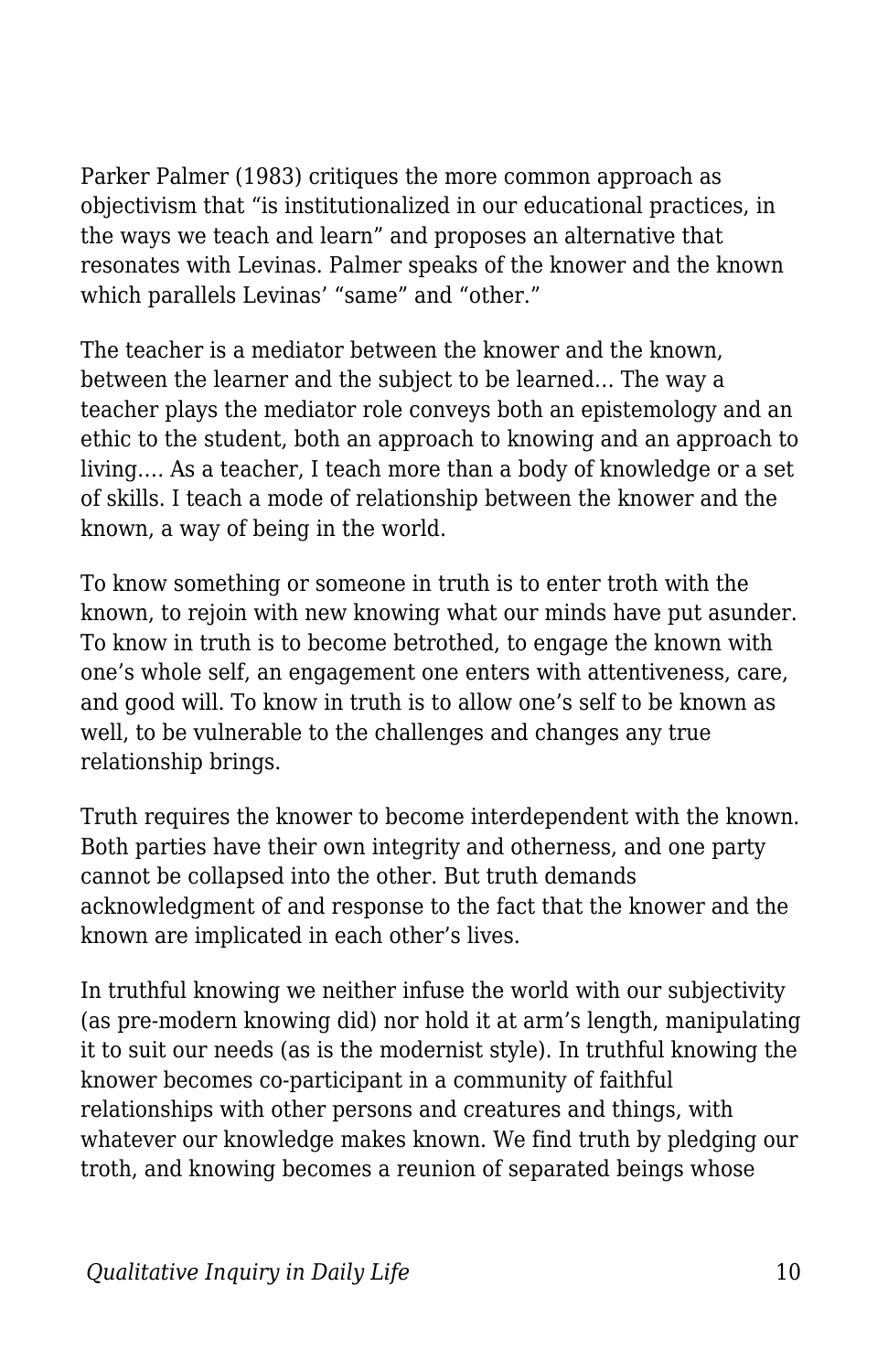Parker Palmer (1983) critiques the more common approach as objectivism that "is institutionalized in our educational practices, in the ways we teach and learn" and proposes an alternative that resonates with Levinas. Palmer speaks of the knower and the known which parallels Levinas' "same" and "other."

The teacher is a mediator between the knower and the known, between the learner and the subject to be learned… The way a teacher plays the mediator role conveys both an epistemology and an ethic to the student, both an approach to knowing and an approach to living…. As a teacher, I teach more than a body of knowledge or a set of skills. I teach a mode of relationship between the knower and the known, a way of being in the world.

To know something or someone in truth is to enter troth with the known, to rejoin with new knowing what our minds have put asunder. To know in truth is to become betrothed, to engage the known with one's whole self, an engagement one enters with attentiveness, care, and good will. To know in truth is to allow one's self to be known as well, to be vulnerable to the challenges and changes any true relationship brings.

Truth requires the knower to become interdependent with the known. Both parties have their own integrity and otherness, and one party cannot be collapsed into the other. But truth demands acknowledgment of and response to the fact that the knower and the known are implicated in each other's lives.

In truthful knowing we neither infuse the world with our subjectivity (as pre-modern knowing did) nor hold it at arm's length, manipulating it to suit our needs (as is the modernist style). In truthful knowing the knower becomes co-participant in a community of faithful relationships with other persons and creatures and things, with whatever our knowledge makes known. We find truth by pledging our troth, and knowing becomes a reunion of separated beings whose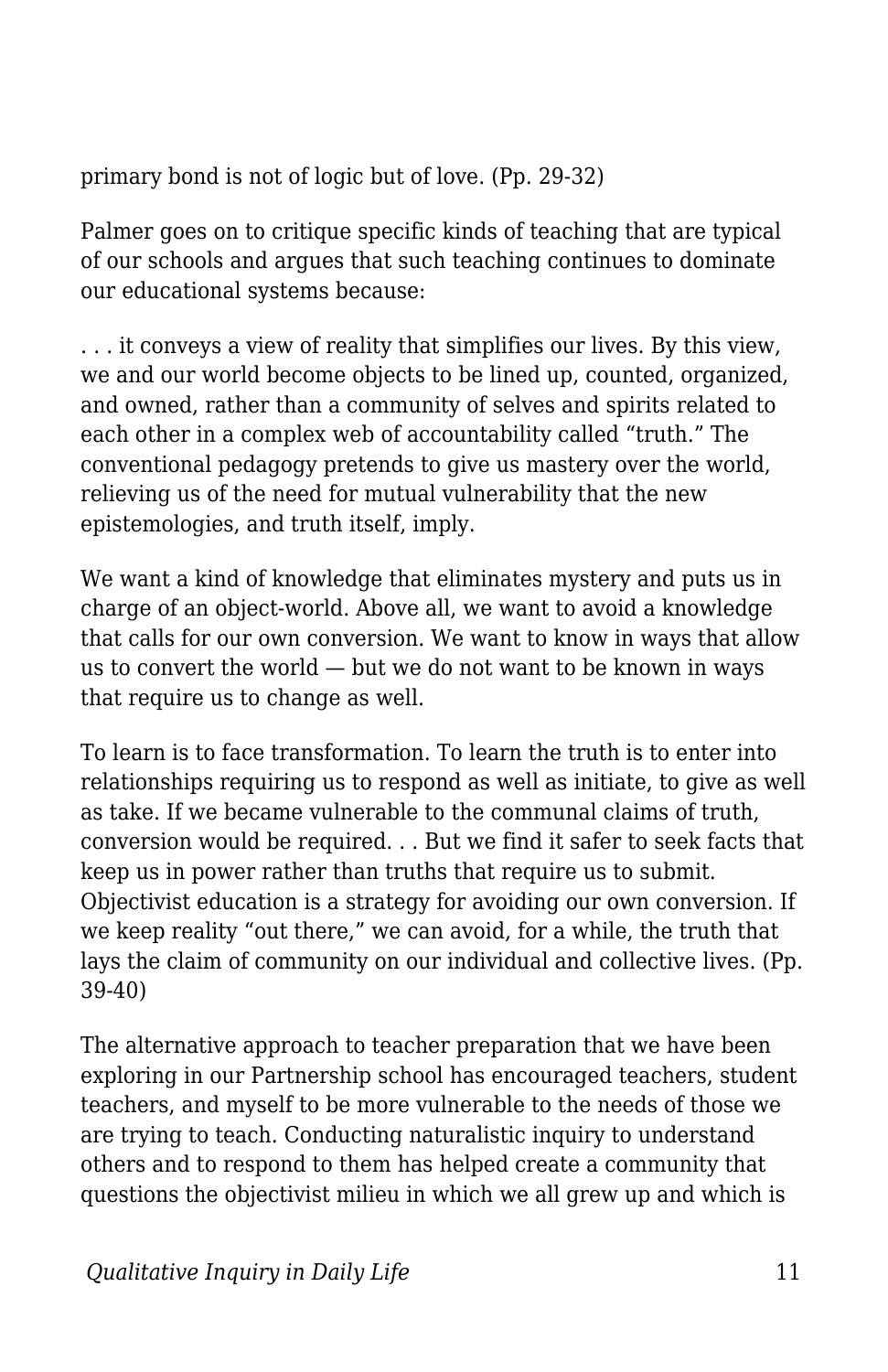primary bond is not of logic but of love. (Pp. 29-32)

Palmer goes on to critique specific kinds of teaching that are typical of our schools and argues that such teaching continues to dominate our educational systems because:

. . . it conveys a view of reality that simplifies our lives. By this view, we and our world become objects to be lined up, counted, organized, and owned, rather than a community of selves and spirits related to each other in a complex web of accountability called "truth." The conventional pedagogy pretends to give us mastery over the world, relieving us of the need for mutual vulnerability that the new epistemologies, and truth itself, imply.

We want a kind of knowledge that eliminates mystery and puts us in charge of an object-world. Above all, we want to avoid a knowledge that calls for our own conversion. We want to know in ways that allow us to convert the world — but we do not want to be known in ways that require us to change as well.

To learn is to face transformation. To learn the truth is to enter into relationships requiring us to respond as well as initiate, to give as well as take. If we became vulnerable to the communal claims of truth, conversion would be required. . . But we find it safer to seek facts that keep us in power rather than truths that require us to submit. Objectivist education is a strategy for avoiding our own conversion. If we keep reality "out there," we can avoid, for a while, the truth that lays the claim of community on our individual and collective lives. (Pp. 39-40)

The alternative approach to teacher preparation that we have been exploring in our Partnership school has encouraged teachers, student teachers, and myself to be more vulnerable to the needs of those we are trying to teach. Conducting naturalistic inquiry to understand others and to respond to them has helped create a community that questions the objectivist milieu in which we all grew up and which is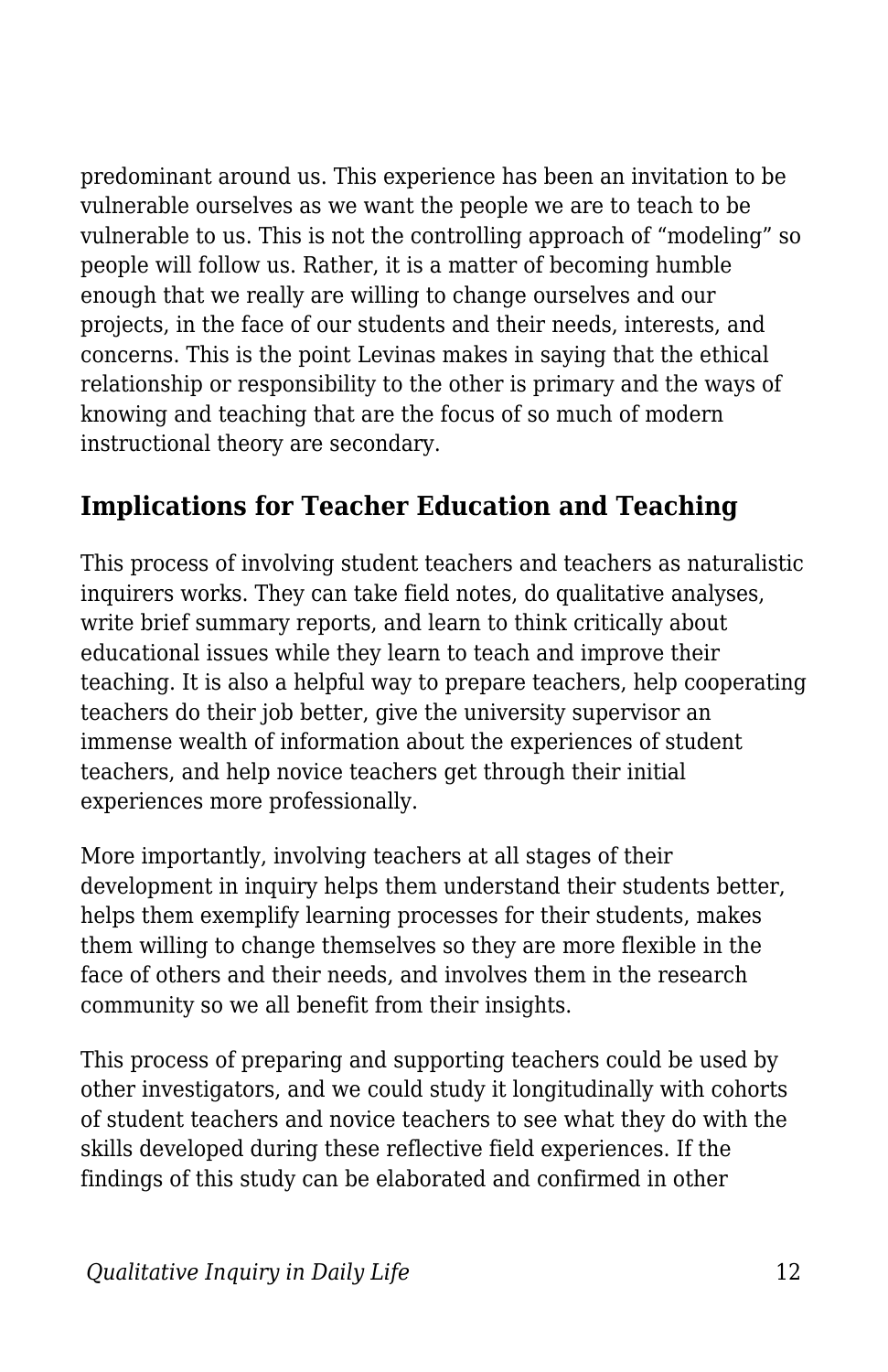predominant around us. This experience has been an invitation to be vulnerable ourselves as we want the people we are to teach to be vulnerable to us. This is not the controlling approach of "modeling" so people will follow us. Rather, it is a matter of becoming humble enough that we really are willing to change ourselves and our projects, in the face of our students and their needs, interests, and concerns. This is the point Levinas makes in saying that the ethical relationship or responsibility to the other is primary and the ways of knowing and teaching that are the focus of so much of modern instructional theory are secondary.

## **Implications for Teacher Education and Teaching**

This process of involving student teachers and teachers as naturalistic inquirers works. They can take field notes, do qualitative analyses, write brief summary reports, and learn to think critically about educational issues while they learn to teach and improve their teaching. It is also a helpful way to prepare teachers, help cooperating teachers do their job better, give the university supervisor an immense wealth of information about the experiences of student teachers, and help novice teachers get through their initial experiences more professionally.

More importantly, involving teachers at all stages of their development in inquiry helps them understand their students better, helps them exemplify learning processes for their students, makes them willing to change themselves so they are more flexible in the face of others and their needs, and involves them in the research community so we all benefit from their insights.

This process of preparing and supporting teachers could be used by other investigators, and we could study it longitudinally with cohorts of student teachers and novice teachers to see what they do with the skills developed during these reflective field experiences. If the findings of this study can be elaborated and confirmed in other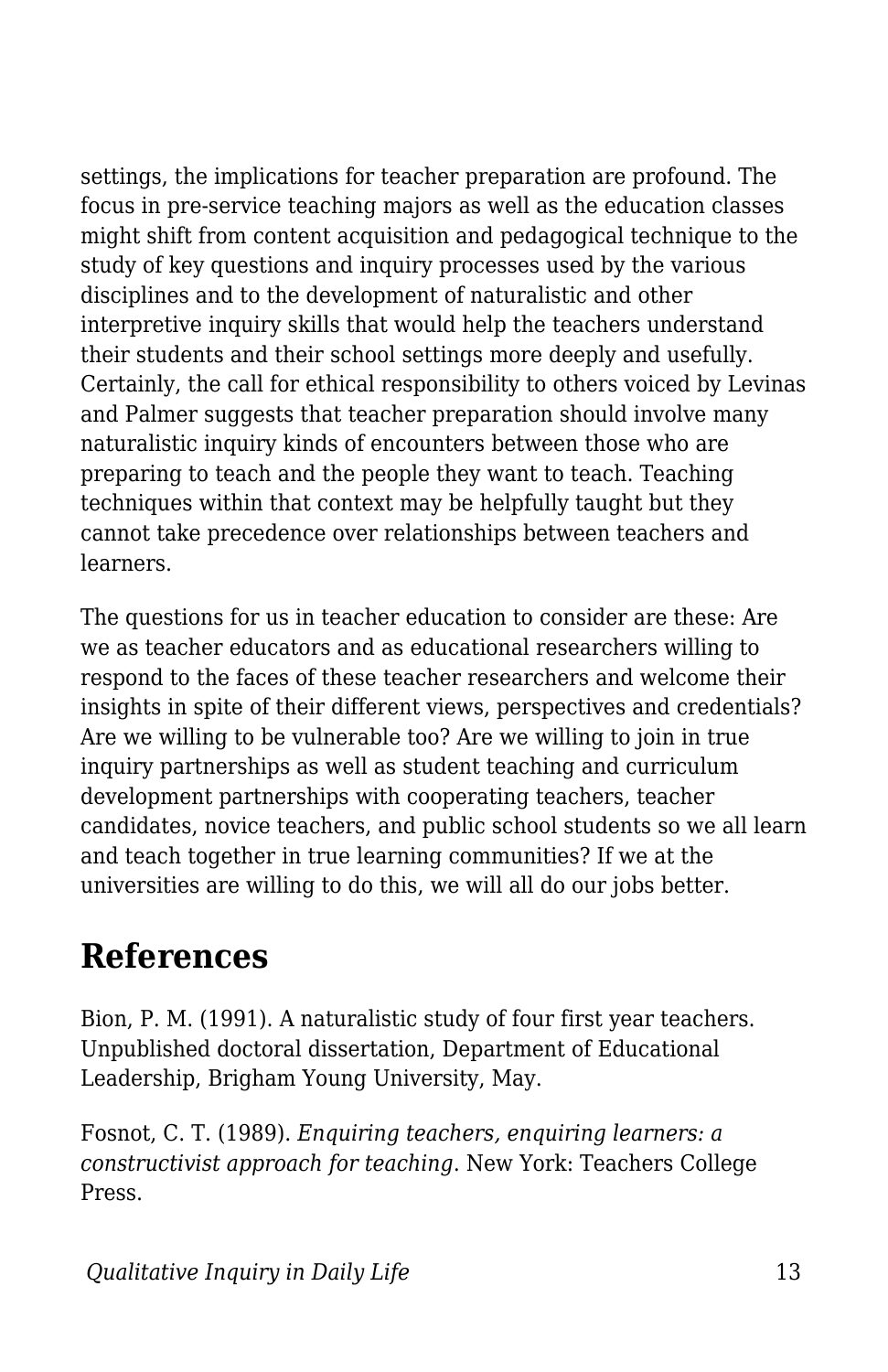settings, the implications for teacher preparation are profound. The focus in pre-service teaching majors as well as the education classes might shift from content acquisition and pedagogical technique to the study of key questions and inquiry processes used by the various disciplines and to the development of naturalistic and other interpretive inquiry skills that would help the teachers understand their students and their school settings more deeply and usefully. Certainly, the call for ethical responsibility to others voiced by Levinas and Palmer suggests that teacher preparation should involve many naturalistic inquiry kinds of encounters between those who are preparing to teach and the people they want to teach. Teaching techniques within that context may be helpfully taught but they cannot take precedence over relationships between teachers and learners.

The questions for us in teacher education to consider are these: Are we as teacher educators and as educational researchers willing to respond to the faces of these teacher researchers and welcome their insights in spite of their different views, perspectives and credentials? Are we willing to be vulnerable too? Are we willing to join in true inquiry partnerships as well as student teaching and curriculum development partnerships with cooperating teachers, teacher candidates, novice teachers, and public school students so we all learn and teach together in true learning communities? If we at the universities are willing to do this, we will all do our jobs better.

## **References**

Bion, P. M. (1991). A naturalistic study of four first year teachers. Unpublished doctoral dissertation, Department of Educational Leadership, Brigham Young University, May.

Fosnot, C. T. (1989). *Enquiring teachers, enquiring learners: a constructivist approach for teaching*. New York: Teachers College Press.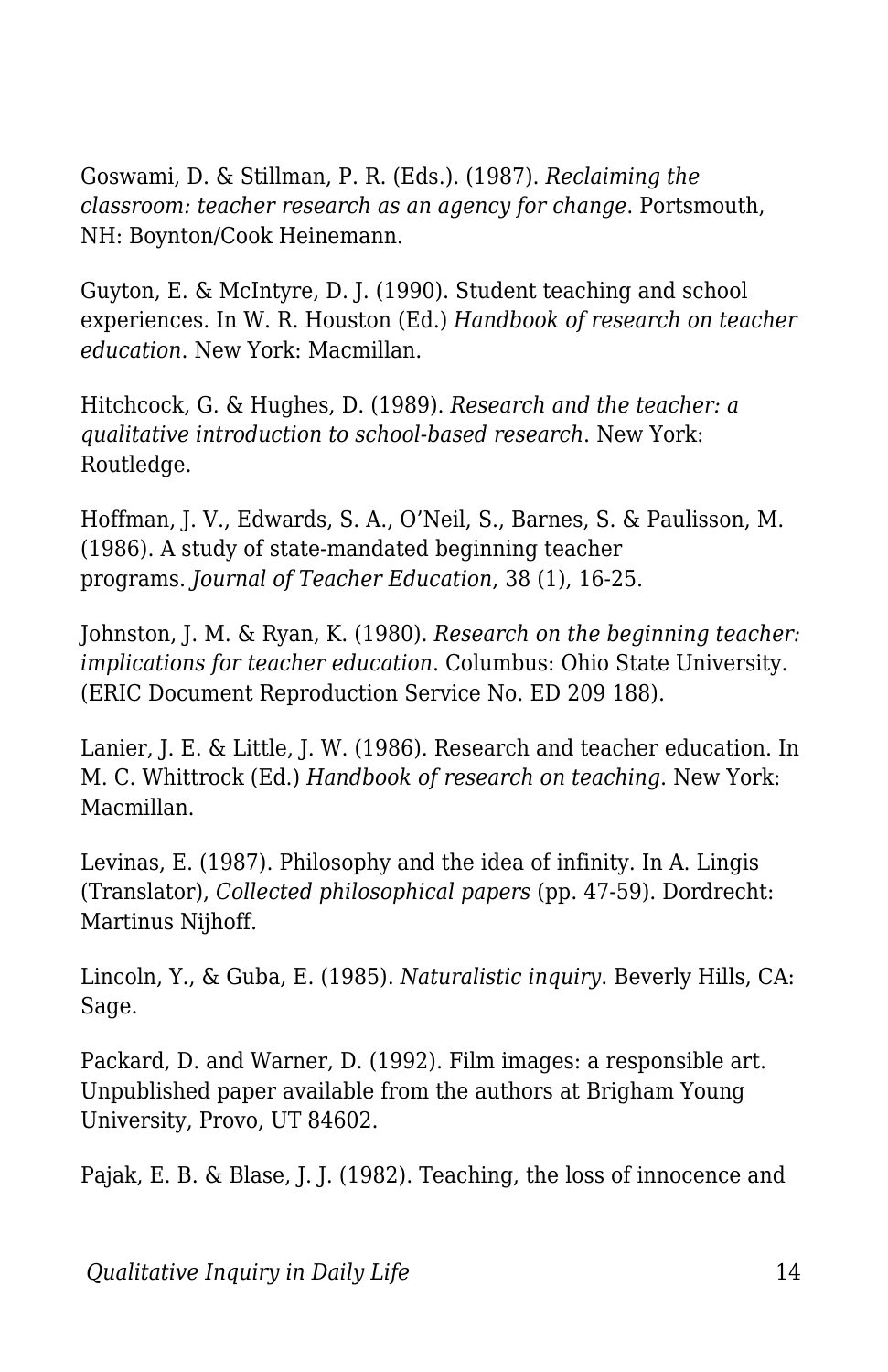Goswami, D. & Stillman, P. R. (Eds.). (1987). *Reclaiming the classroom: teacher research as an agency for change*. Portsmouth, NH: Boynton/Cook Heinemann.

Guyton, E. & McIntyre, D. J. (1990). Student teaching and school experiences. In W. R. Houston (Ed.) *Handbook of research on teacher education*. New York: Macmillan.

Hitchcock, G. & Hughes, D. (1989). *Research and the teacher: a qualitative introduction to school-based research*. New York: Routledge.

Hoffman, J. V., Edwards, S. A., O'Neil, S., Barnes, S. & Paulisson, M. (1986). A study of state-mandated beginning teacher programs. *Journal of Teacher Education*, 38 (1), 16-25.

Johnston, J. M. & Ryan, K. (1980). *Research on the beginning teacher: implications for teacher education*. Columbus: Ohio State University. (ERIC Document Reproduction Service No. ED 209 188).

Lanier, J. E. & Little, J. W. (1986). Research and teacher education. In M. C. Whittrock (Ed.) *Handbook of research on teaching*. New York: Macmillan.

Levinas, E. (1987). Philosophy and the idea of infinity. In A. Lingis (Translator), *Collected philosophical papers* (pp. 47-59). Dordrecht: Martinus Nijhoff.

Lincoln, Y., & Guba, E. (1985). *Naturalistic inquiry*. Beverly Hills, CA: Sage.

Packard, D. and Warner, D. (1992). Film images: a responsible art. Unpublished paper available from the authors at Brigham Young University, Provo, UT 84602.

Pajak, E. B. & Blase, J. J. (1982). Teaching, the loss of innocence and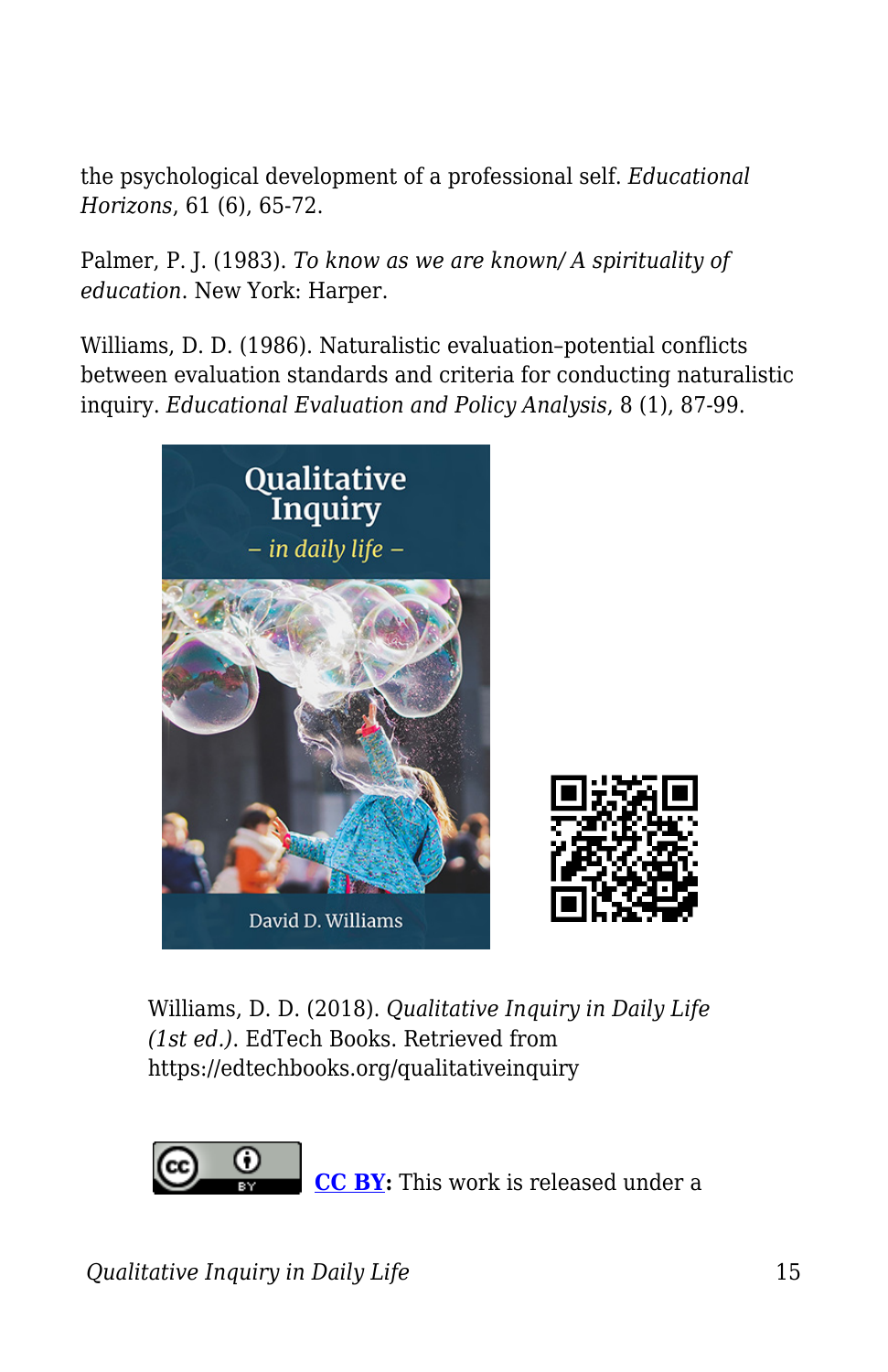the psychological development of a professional self. *Educational Horizons*, 61 (6), 65-72.

Palmer, P. J. (1983). *To know as we are known/ A spirituality of education*. New York: Harper.

Williams, D. D. (1986). Naturalistic evaluation–potential conflicts between evaluation standards and criteria for conducting naturalistic inquiry. *Educational Evaluation and Policy Analysis*, 8 (1), 87-99.



Williams, D. D. (2018). *Qualitative Inquiry in Daily Life (1st ed.)*. EdTech Books. Retrieved from https://edtechbooks.org/qualitativeinquiry



**[CC BY:](https://creativecommons.org/licenses/by/4.0)** This work is released under a